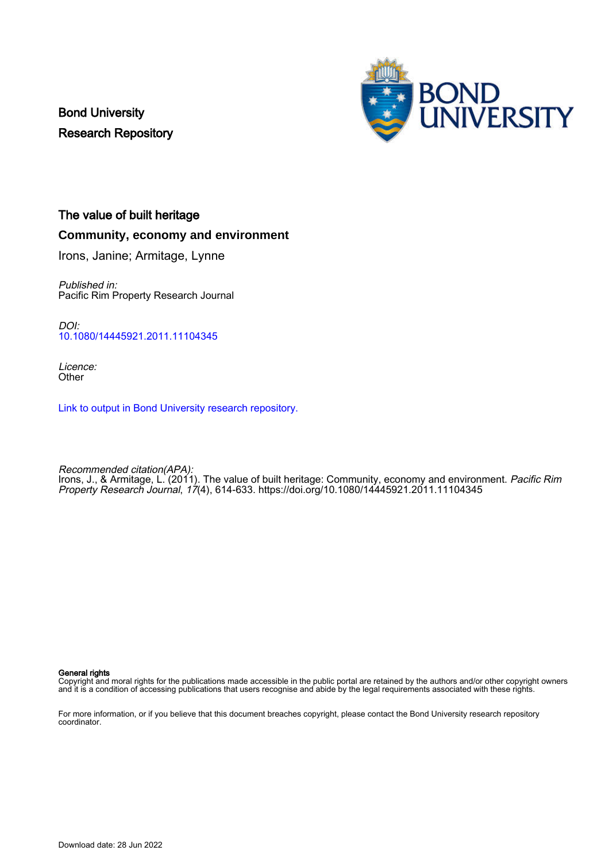Bond University Research Repository



# The value of built heritage

## **Community, economy and environment**

Irons, Janine; Armitage, Lynne

Published in: Pacific Rim Property Research Journal

DOI: [10.1080/14445921.2011.11104345](https://doi.org/10.1080/14445921.2011.11104345)

Licence: **Other** 

[Link to output in Bond University research repository.](https://research.bond.edu.au/en/publications/33bc8d7e-d146-4d7b-bfd3-e6a73a44630d)

Recommended citation(APA): Irons, J., & Armitage, L. (2011). The value of built heritage: Community, economy and environment. *Pacific Rim* Property Research Journal, 17(4), 614-633. <https://doi.org/10.1080/14445921.2011.11104345>

#### General rights

Copyright and moral rights for the publications made accessible in the public portal are retained by the authors and/or other copyright owners and it is a condition of accessing publications that users recognise and abide by the legal requirements associated with these rights.

For more information, or if you believe that this document breaches copyright, please contact the Bond University research repository coordinator.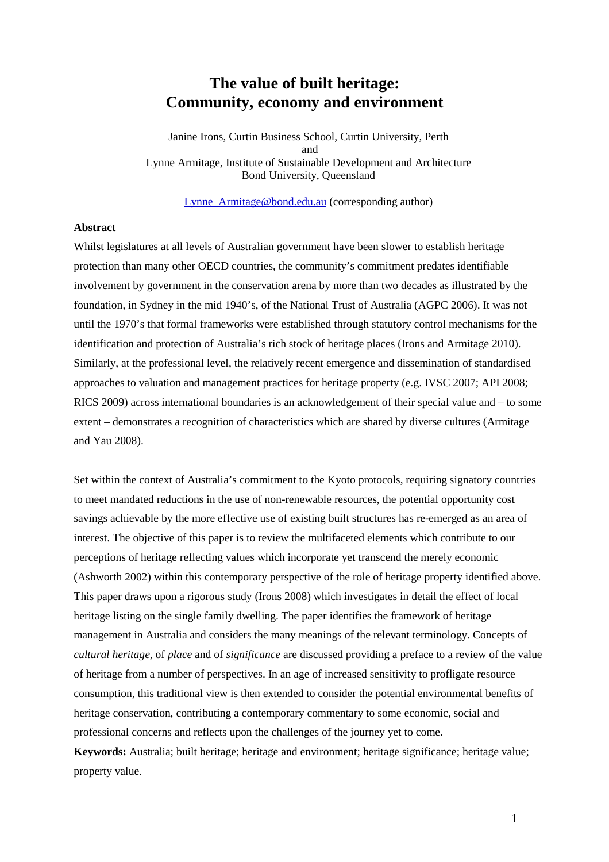# **The value of built heritage: Community, economy and environment**

Janine Irons, Curtin Business School, Curtin University, Perth and Lynne Armitage, Institute of Sustainable Development and Architecture Bond University, Queensland

Lynne Armitage@bond.edu.au (corresponding author)

#### **Abstract**

Whilst legislatures at all levels of Australian government have been slower to establish heritage protection than many other OECD countries, the community's commitment predates identifiable involvement by government in the conservation arena by more than two decades as illustrated by the foundation, in Sydney in the mid 1940's, of the National Trust of Australia (AGPC 2006). It was not until the 1970's that formal frameworks were established through statutory control mechanisms for the identification and protection of Australia's rich stock of heritage places (Irons and Armitage 2010). Similarly, at the professional level, the relatively recent emergence and dissemination of standardised approaches to valuation and management practices for heritage property (e.g. IVSC 2007; API 2008; RICS 2009) across international boundaries is an acknowledgement of their special value and – to some extent – demonstrates a recognition of characteristics which are shared by diverse cultures (Armitage and Yau 2008).

Set within the context of Australia's commitment to the Kyoto protocols, requiring signatory countries to meet mandated reductions in the use of non-renewable resources, the potential opportunity cost savings achievable by the more effective use of existing built structures has re-emerged as an area of interest. The objective of this paper is to review the multifaceted elements which contribute to our perceptions of heritage reflecting values which incorporate yet transcend the merely economic (Ashworth 2002) within this contemporary perspective of the role of heritage property identified above. This paper draws upon a rigorous study (Irons 2008) which investigates in detail the effect of local heritage listing on the single family dwelling. The paper identifies the framework of heritage management in Australia and considers the many meanings of the relevant terminology. Concepts of *cultural heritage*, of *place* and of *significance* are discussed providing a preface to a review of the value of heritage from a number of perspectives. In an age of increased sensitivity to profligate resource consumption, this traditional view is then extended to consider the potential environmental benefits of heritage conservation, contributing a contemporary commentary to some economic, social and professional concerns and reflects upon the challenges of the journey yet to come.

**Keywords:** Australia; built heritage; heritage and environment; heritage significance; heritage value; property value.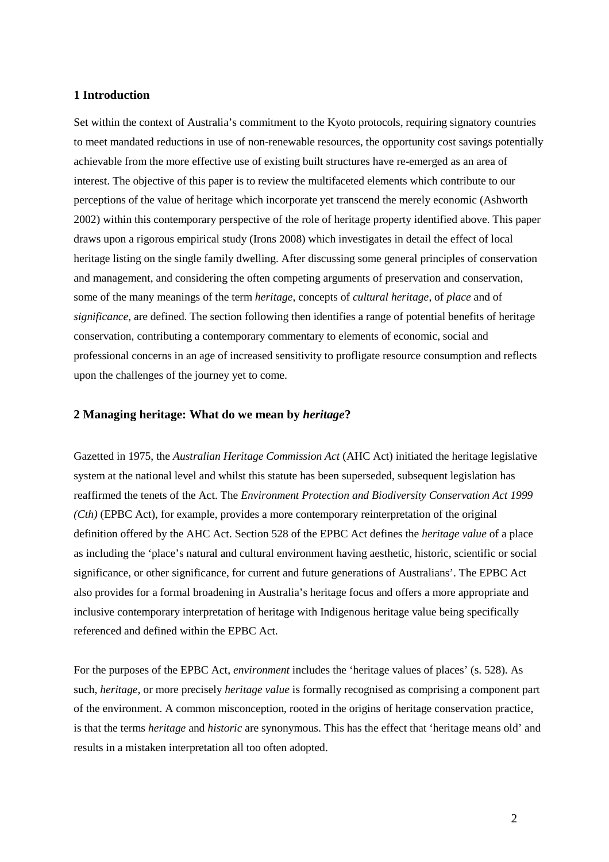#### **1 Introduction**

Set within the context of Australia's commitment to the Kyoto protocols, requiring signatory countries to meet mandated reductions in use of non-renewable resources, the opportunity cost savings potentially achievable from the more effective use of existing built structures have re-emerged as an area of interest. The objective of this paper is to review the multifaceted elements which contribute to our perceptions of the value of heritage which incorporate yet transcend the merely economic (Ashworth 2002) within this contemporary perspective of the role of heritage property identified above. This paper draws upon a rigorous empirical study (Irons 2008) which investigates in detail the effect of local heritage listing on the single family dwelling. After discussing some general principles of conservation and management, and considering the often competing arguments of preservation and conservation, some of the many meanings of the term *heritage*, concepts of *cultural heritage*, of *place* and of *significance*, are defined. The section following then identifies a range of potential benefits of heritage conservation, contributing a contemporary commentary to elements of economic, social and professional concerns in an age of increased sensitivity to profligate resource consumption and reflects upon the challenges of the journey yet to come.

#### **2 Managing heritage: What do we mean by** *heritage***?**

Gazetted in 1975, the *Australian Heritage Commission Act* (AHC Act) initiated the heritage legislative system at the national level and whilst this statute has been superseded, subsequent legislation has reaffirmed the tenets of the Act. The *Environment Protection and Biodiversity Conservation Act 1999 (Cth)* (EPBC Act), for example, provides a more contemporary reinterpretation of the original definition offered by the AHC Act. Section 528 of the EPBC Act defines the *heritage value* of a place as including the 'place's natural and cultural environment having aesthetic, historic, scientific or social significance, or other significance, for current and future generations of Australians'. The EPBC Act also provides for a formal broadening in Australia's heritage focus and offers a more appropriate and inclusive contemporary interpretation of heritage with Indigenous heritage value being specifically referenced and defined within the EPBC Act.

For the purposes of the EPBC Act, *environment* includes the 'heritage values of places' (s. 528). As such, *heritage*, or more precisely *heritage value* is formally recognised as comprising a component part of the environment. A common misconception, rooted in the origins of heritage conservation practice, is that the terms *heritage* and *historic* are synonymous. This has the effect that 'heritage means old' and results in a mistaken interpretation all too often adopted.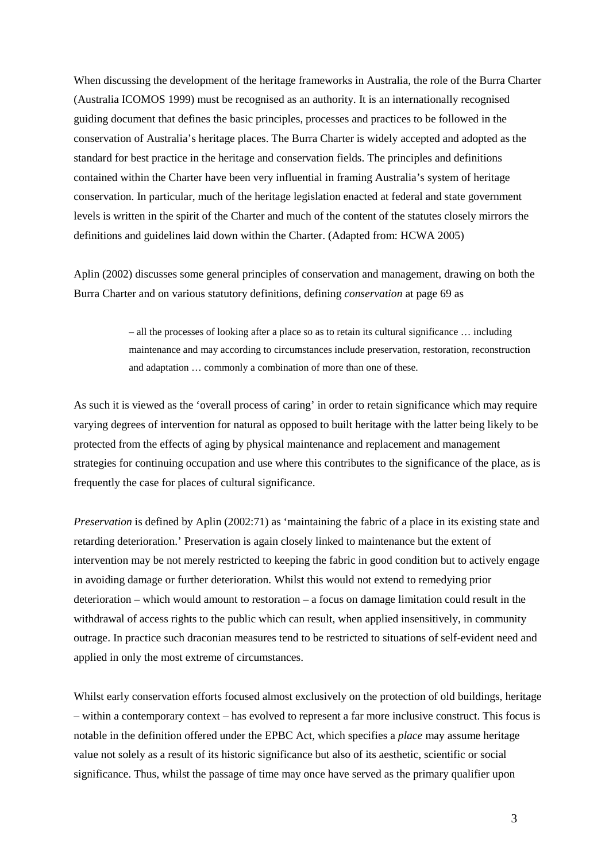When discussing the development of the heritage frameworks in Australia, the role of the Burra Charter (Australia ICOMOS 1999) must be recognised as an authority. It is an internationally recognised guiding document that defines the basic principles, processes and practices to be followed in the conservation of Australia's heritage places. The Burra Charter is widely accepted and adopted as the standard for best practice in the heritage and conservation fields. The principles and definitions contained within the Charter have been very influential in framing Australia's system of heritage conservation. In particular, much of the heritage legislation enacted at federal and state government levels is written in the spirit of the Charter and much of the content of the statutes closely mirrors the definitions and guidelines laid down within the Charter. (Adapted from: HCWA 2005)

Aplin (2002) discusses some general principles of conservation and management, drawing on both the Burra Charter and on various statutory definitions, defining *conservation* at page 69 as

> – all the processes of looking after a place so as to retain its cultural significance … including maintenance and may according to circumstances include preservation, restoration, reconstruction and adaptation … commonly a combination of more than one of these.

As such it is viewed as the 'overall process of caring' in order to retain significance which may require varying degrees of intervention for natural as opposed to built heritage with the latter being likely to be protected from the effects of aging by physical maintenance and replacement and management strategies for continuing occupation and use where this contributes to the significance of the place, as is frequently the case for places of cultural significance.

*Preservation* is defined by Aplin (2002:71) as 'maintaining the fabric of a place in its existing state and retarding deterioration.' Preservation is again closely linked to maintenance but the extent of intervention may be not merely restricted to keeping the fabric in good condition but to actively engage in avoiding damage or further deterioration. Whilst this would not extend to remedying prior deterioration – which would amount to restoration – a focus on damage limitation could result in the withdrawal of access rights to the public which can result, when applied insensitively, in community outrage. In practice such draconian measures tend to be restricted to situations of self-evident need and applied in only the most extreme of circumstances.

Whilst early conservation efforts focused almost exclusively on the protection of old buildings, heritage – within a contemporary context – has evolved to represent a far more inclusive construct. This focus is notable in the definition offered under the EPBC Act, which specifies a *place* may assume heritage value not solely as a result of its historic significance but also of its aesthetic, scientific or social significance. Thus, whilst the passage of time may once have served as the primary qualifier upon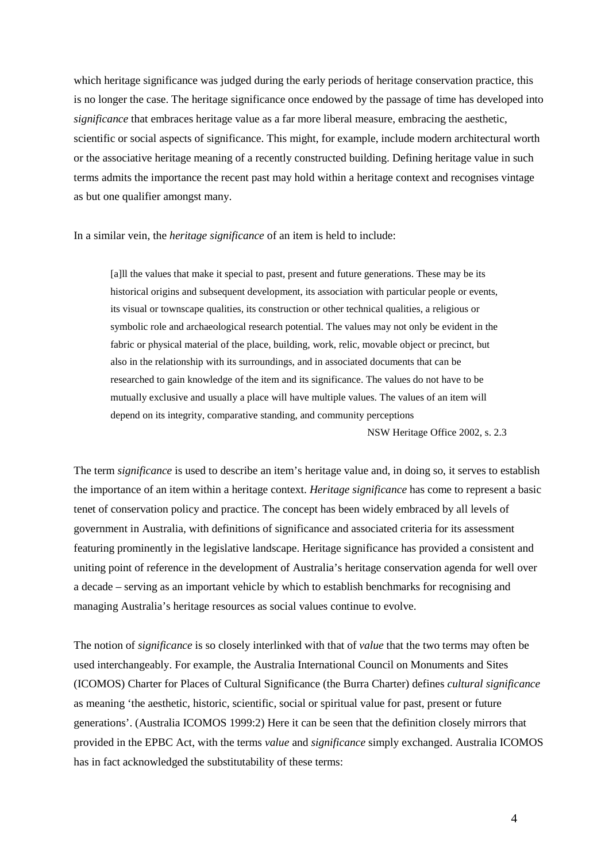which heritage significance was judged during the early periods of heritage conservation practice, this is no longer the case. The heritage significance once endowed by the passage of time has developed into *significance* that embraces heritage value as a far more liberal measure, embracing the aesthetic, scientific or social aspects of significance. This might, for example, include modern architectural worth or the associative heritage meaning of a recently constructed building. Defining heritage value in such terms admits the importance the recent past may hold within a heritage context and recognises vintage as but one qualifier amongst many.

In a similar vein, the *heritage significance* of an item is held to include:

[a]ll the values that make it special to past, present and future generations. These may be its historical origins and subsequent development, its association with particular people or events, its visual or townscape qualities, its construction or other technical qualities, a religious or symbolic role and archaeological research potential. The values may not only be evident in the fabric or physical material of the place, building, work, relic, movable object or precinct, but also in the relationship with its surroundings, and in associated documents that can be researched to gain knowledge of the item and its significance. The values do not have to be mutually exclusive and usually a place will have multiple values. The values of an item will depend on its integrity, comparative standing, and community perceptions

NSW Heritage Office 2002, s. 2.3

The term *significance* is used to describe an item's heritage value and, in doing so, it serves to establish the importance of an item within a heritage context. *Heritage significance* has come to represent a basic tenet of conservation policy and practice. The concept has been widely embraced by all levels of government in Australia, with definitions of significance and associated criteria for its assessment featuring prominently in the legislative landscape. Heritage significance has provided a consistent and uniting point of reference in the development of Australia's heritage conservation agenda for well over a decade – serving as an important vehicle by which to establish benchmarks for recognising and managing Australia's heritage resources as social values continue to evolve.

The notion of *significance* is so closely interlinked with that of *value* that the two terms may often be used interchangeably. For example, the Australia International Council on Monuments and Sites (ICOMOS) Charter for Places of Cultural Significance (the Burra Charter) defines *cultural significance* as meaning 'the aesthetic, historic, scientific, social or spiritual value for past, present or future generations'. (Australia ICOMOS 1999:2) Here it can be seen that the definition closely mirrors that provided in the EPBC Act, with the terms *value* and *significance* simply exchanged. Australia ICOMOS has in fact acknowledged the substitutability of these terms: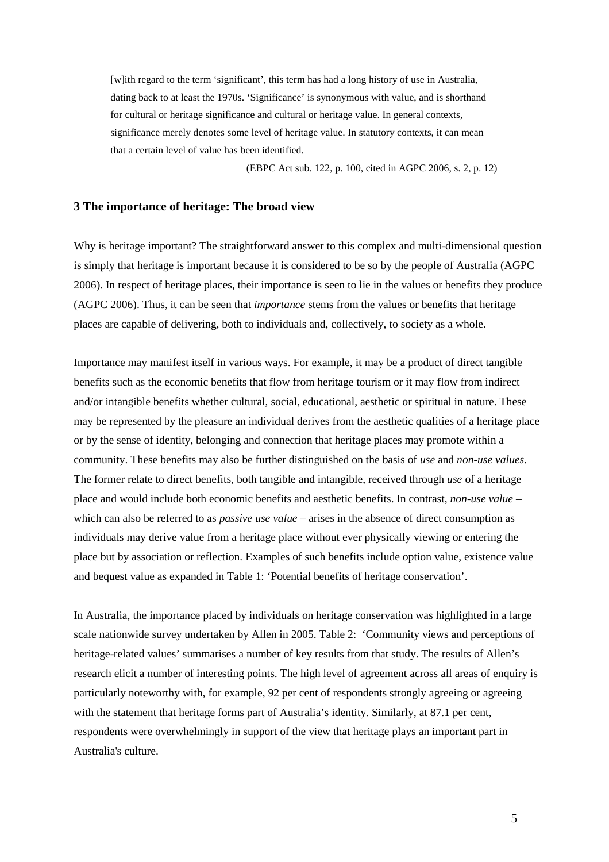[w]ith regard to the term 'significant', this term has had a long history of use in Australia, dating back to at least the 1970s. 'Significance' is synonymous with value, and is shorthand for cultural or heritage significance and cultural or heritage value. In general contexts, significance merely denotes some level of heritage value. In statutory contexts, it can mean that a certain level of value has been identified.

(EBPC Act sub. 122, p. 100, cited in AGPC 2006, s. 2, p. 12)

#### **3 The importance of heritage: The broad view**

Why is heritage important? The straightforward answer to this complex and multi-dimensional question is simply that heritage is important because it is considered to be so by the people of Australia (AGPC 2006). In respect of heritage places, their importance is seen to lie in the values or benefits they produce (AGPC 2006). Thus, it can be seen that *importance* stems from the values or benefits that heritage places are capable of delivering, both to individuals and, collectively, to society as a whole.

Importance may manifest itself in various ways. For example, it may be a product of direct tangible benefits such as the economic benefits that flow from heritage tourism or it may flow from indirect and/or intangible benefits whether cultural, social, educational, aesthetic or spiritual in nature. These may be represented by the pleasure an individual derives from the aesthetic qualities of a heritage place or by the sense of identity, belonging and connection that heritage places may promote within a community. These benefits may also be further distinguished on the basis of *use* and *non-use values*. The former relate to direct benefits, both tangible and intangible, received through *use* of a heritage place and would include both economic benefits and aesthetic benefits. In contrast, *non-use value* – which can also be referred to as *passive use value* – arises in the absence of direct consumption as individuals may derive value from a heritage place without ever physically viewing or entering the place but by association or reflection. Examples of such benefits include option value, existence value and bequest value as expanded in Table 1: 'Potential benefits of heritage conservation'.

In Australia, the importance placed by individuals on heritage conservation was highlighted in a large scale nationwide survey undertaken by Allen in 2005. Table 2: 'Community views and perceptions of heritage-related values' summarises a number of key results from that study. The results of Allen's research elicit a number of interesting points. The high level of agreement across all areas of enquiry is particularly noteworthy with, for example, 92 per cent of respondents strongly agreeing or agreeing with the statement that heritage forms part of Australia's identity. Similarly, at 87.1 per cent, respondents were overwhelmingly in support of the view that heritage plays an important part in Australia's culture.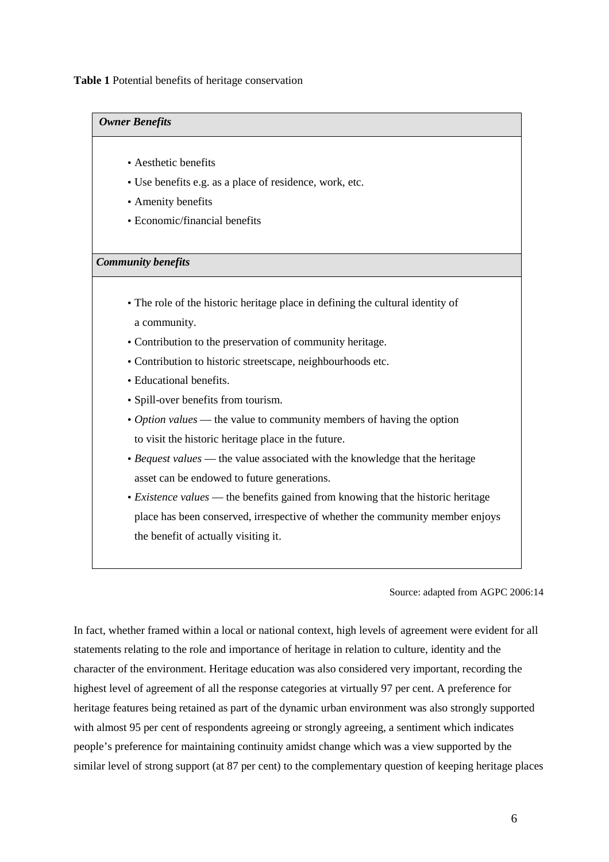**Table 1** Potential benefits of heritage conservation

### *Owner Benefits*

- Aesthetic benefits
- Use benefits e.g. as a place of residence, work, etc.
- Amenity benefits
- Economic/financial benefits

### *Community benefits*

- The role of the historic heritage place in defining the cultural identity of a community.
- Contribution to the preservation of community heritage.
- Contribution to historic streetscape, neighbourhoods etc.
- Educational benefits.
- Spill-over benefits from tourism.
- *Option values* the value to community members of having the option to visit the historic heritage place in the future.
- *Bequest values* the value associated with the knowledge that the heritage asset can be endowed to future generations.
- *Existence values* the benefits gained from knowing that the historic heritage place has been conserved, irrespective of whether the community member enjoys the benefit of actually visiting it.

Source: adapted from AGPC 2006:14

In fact, whether framed within a local or national context, high levels of agreement were evident for all statements relating to the role and importance of heritage in relation to culture, identity and the character of the environment. Heritage education was also considered very important, recording the highest level of agreement of all the response categories at virtually 97 per cent. A preference for heritage features being retained as part of the dynamic urban environment was also strongly supported with almost 95 per cent of respondents agreeing or strongly agreeing, a sentiment which indicates people's preference for maintaining continuity amidst change which was a view supported by the similar level of strong support (at 87 per cent) to the complementary question of keeping heritage places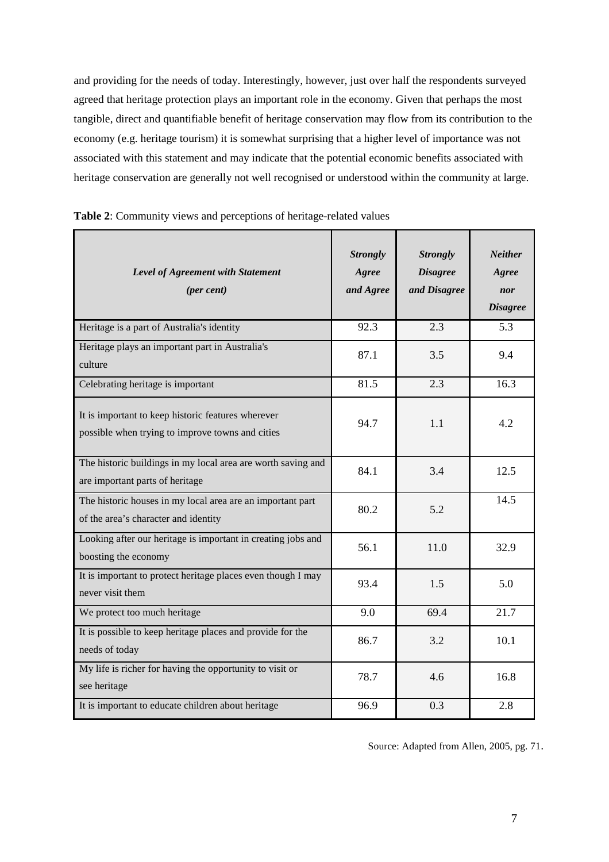and providing for the needs of today. Interestingly, however, just over half the respondents surveyed agreed that heritage protection plays an important role in the economy. Given that perhaps the most tangible, direct and quantifiable benefit of heritage conservation may flow from its contribution to the economy (e.g. heritage tourism) it is somewhat surprising that a higher level of importance was not associated with this statement and may indicate that the potential economic benefits associated with heritage conservation are generally not well recognised or understood within the community at large.

| Level of Agreement with Statement<br>(per cent)                                                        | <b>Strongly</b><br>Agree<br>and Agree | <b>Strongly</b><br><b>Disagree</b><br>and Disagree | <b>Neither</b><br>Agree<br>nor<br><b>Disagree</b> |
|--------------------------------------------------------------------------------------------------------|---------------------------------------|----------------------------------------------------|---------------------------------------------------|
| Heritage is a part of Australia's identity                                                             | 92.3                                  | 2.3                                                | 5.3                                               |
| Heritage plays an important part in Australia's<br>culture                                             | 87.1                                  | 3.5                                                | 9.4                                               |
| Celebrating heritage is important                                                                      | 81.5                                  | 2.3                                                | 16.3                                              |
| It is important to keep historic features wherever<br>possible when trying to improve towns and cities | 94.7                                  | 1.1                                                | 4.2                                               |
| The historic buildings in my local area are worth saving and<br>are important parts of heritage        | 84.1                                  | 3.4                                                | 12.5                                              |
| The historic houses in my local area are an important part<br>of the area's character and identity     | 80.2                                  | 5.2                                                | 14.5                                              |
| Looking after our heritage is important in creating jobs and<br>boosting the economy                   | 56.1                                  | 11.0                                               | 32.9                                              |
| It is important to protect heritage places even though I may<br>never visit them                       | 93.4                                  | 1.5                                                | 5.0                                               |
| We protect too much heritage                                                                           | 9.0                                   | 69.4                                               | 21.7                                              |
| It is possible to keep heritage places and provide for the<br>needs of today                           | 86.7                                  | 3.2                                                | 10.1                                              |
| My life is richer for having the opportunity to visit or<br>see heritage                               | 78.7                                  | 4.6                                                | 16.8                                              |
| It is important to educate children about heritage                                                     | 96.9                                  | 0.3                                                | 2.8                                               |

**Table 2**: Community views and perceptions of heritage-related values

Source: Adapted from Allen, 2005, pg. 71.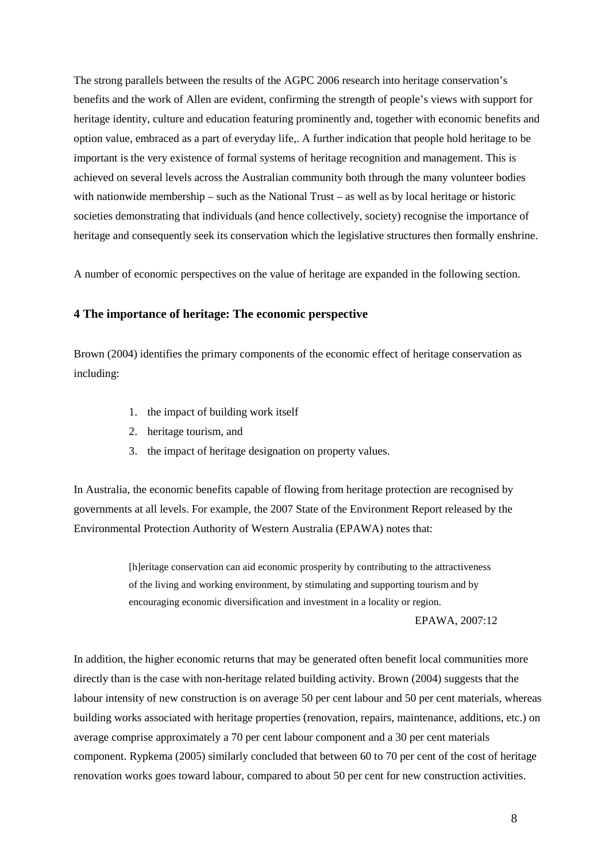The strong parallels between the results of the AGPC 2006 research into heritage conservation's benefits and the work of Allen are evident, confirming the strength of people's views with support for heritage identity, culture and education featuring prominently and, together with economic benefits and option value, embraced as a part of everyday life,. A further indication that people hold heritage to be important is the very existence of formal systems of heritage recognition and management. This is achieved on several levels across the Australian community both through the many volunteer bodies with nationwide membership – such as the National Trust – as well as by local heritage or historic societies demonstrating that individuals (and hence collectively, society) recognise the importance of heritage and consequently seek its conservation which the legislative structures then formally enshrine.

A number of economic perspectives on the value of heritage are expanded in the following section.

#### **4 The importance of heritage: The economic perspective**

Brown (2004) identifies the primary components of the economic effect of heritage conservation as including:

- 1. the impact of building work itself
- 2. heritage tourism, and
- 3. the impact of heritage designation on property values.

In Australia, the economic benefits capable of flowing from heritage protection are recognised by governments at all levels. For example, the 2007 State of the Environment Report released by the Environmental Protection Authority of Western Australia (EPAWA) notes that:

> [h]eritage conservation can aid economic prosperity by contributing to the attractiveness of the living and working environment, by stimulating and supporting tourism and by encouraging economic diversification and investment in a locality or region.

> > EPAWA, 2007:12

In addition, the higher economic returns that may be generated often benefit local communities more directly than is the case with non-heritage related building activity. Brown (2004) suggests that the labour intensity of new construction is on average 50 per cent labour and 50 per cent materials, whereas building works associated with heritage properties (renovation, repairs, maintenance, additions, etc.) on average comprise approximately a 70 per cent labour component and a 30 per cent materials component. Rypkema (2005) similarly concluded that between 60 to 70 per cent of the cost of heritage renovation works goes toward labour, compared to about 50 per cent for new construction activities.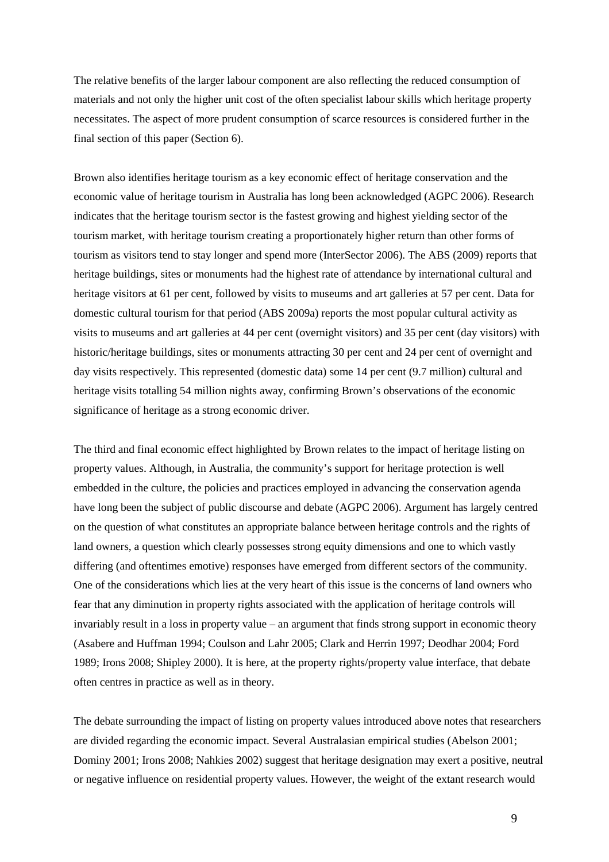The relative benefits of the larger labour component are also reflecting the reduced consumption of materials and not only the higher unit cost of the often specialist labour skills which heritage property necessitates. The aspect of more prudent consumption of scarce resources is considered further in the final section of this paper (Section 6).

Brown also identifies heritage tourism as a key economic effect of heritage conservation and the economic value of heritage tourism in Australia has long been acknowledged (AGPC 2006). Research indicates that the heritage tourism sector is the fastest growing and highest yielding sector of the tourism market, with heritage tourism creating a proportionately higher return than other forms of tourism as visitors tend to stay longer and spend more (InterSector 2006). The ABS (2009) reports that heritage buildings, sites or monuments had the highest rate of attendance by international cultural and heritage visitors at 61 per cent, followed by visits to museums and art galleries at 57 per cent. Data for domestic cultural tourism for that period (ABS 2009a) reports the most popular cultural activity as visits to museums and art galleries at 44 per cent (overnight visitors) and 35 per cent (day visitors) with historic/heritage buildings, sites or monuments attracting 30 per cent and 24 per cent of overnight and day visits respectively. This represented (domestic data) some 14 per cent (9.7 million) cultural and heritage visits totalling 54 million nights away, confirming Brown's observations of the economic significance of heritage as a strong economic driver.

The third and final economic effect highlighted by Brown relates to the impact of heritage listing on property values. Although, in Australia, the community's support for heritage protection is well embedded in the culture, the policies and practices employed in advancing the conservation agenda have long been the subject of public discourse and debate (AGPC 2006). Argument has largely centred on the question of what constitutes an appropriate balance between heritage controls and the rights of land owners, a question which clearly possesses strong equity dimensions and one to which vastly differing (and oftentimes emotive) responses have emerged from different sectors of the community. One of the considerations which lies at the very heart of this issue is the concerns of land owners who fear that any diminution in property rights associated with the application of heritage controls will invariably result in a loss in property value – an argument that finds strong support in economic theory (Asabere and Huffman 1994; Coulson and Lahr 2005; Clark and Herrin 1997; Deodhar 2004; Ford 1989; Irons 2008; Shipley 2000). It is here, at the property rights/property value interface, that debate often centres in practice as well as in theory.

The debate surrounding the impact of listing on property values introduced above notes that researchers are divided regarding the economic impact. Several Australasian empirical studies (Abelson 2001; Dominy 2001; Irons 2008; Nahkies 2002) suggest that heritage designation may exert a positive, neutral or negative influence on residential property values. However, the weight of the extant research would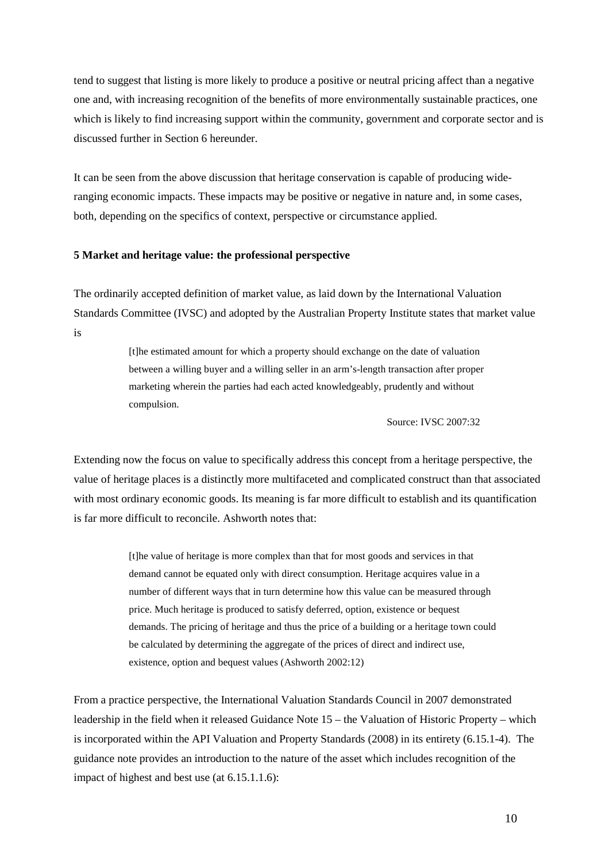tend to suggest that listing is more likely to produce a positive or neutral pricing affect than a negative one and, with increasing recognition of the benefits of more environmentally sustainable practices, one which is likely to find increasing support within the community, government and corporate sector and is discussed further in Section 6 hereunder.

It can be seen from the above discussion that heritage conservation is capable of producing wideranging economic impacts. These impacts may be positive or negative in nature and, in some cases, both, depending on the specifics of context, perspective or circumstance applied.

#### **5 Market and heritage value: the professional perspective**

The ordinarily accepted definition of market value, as laid down by the International Valuation Standards Committee (IVSC) and adopted by the Australian Property Institute states that market value is

> [t]he estimated amount for which a property should exchange on the date of valuation between a willing buyer and a willing seller in an arm's-length transaction after proper marketing wherein the parties had each acted knowledgeably, prudently and without compulsion.

> > Source: IVSC 2007:32

Extending now the focus on value to specifically address this concept from a heritage perspective, the value of heritage places is a distinctly more multifaceted and complicated construct than that associated with most ordinary economic goods. Its meaning is far more difficult to establish and its quantification is far more difficult to reconcile. Ashworth notes that:

> [t]he value of heritage is more complex than that for most goods and services in that demand cannot be equated only with direct consumption. Heritage acquires value in a number of different ways that in turn determine how this value can be measured through price. Much heritage is produced to satisfy deferred, option, existence or bequest demands. The pricing of heritage and thus the price of a building or a heritage town could be calculated by determining the aggregate of the prices of direct and indirect use, existence, option and bequest values (Ashworth 2002:12)

From a practice perspective, the International Valuation Standards Council in 2007 demonstrated leadership in the field when it released Guidance Note 15 – the Valuation of Historic Property – which is incorporated within the API Valuation and Property Standards (2008) in its entirety (6.15.1-4). The guidance note provides an introduction to the nature of the asset which includes recognition of the impact of highest and best use (at 6.15.1.1.6):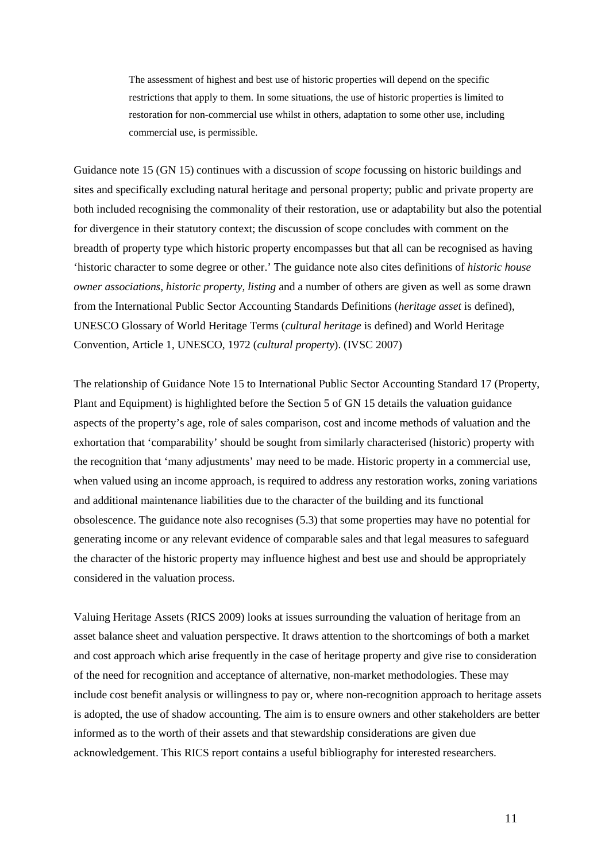The assessment of highest and best use of historic properties will depend on the specific restrictions that apply to them. In some situations, the use of historic properties is limited to restoration for non-commercial use whilst in others, adaptation to some other use, including commercial use, is permissible.

Guidance note 15 (GN 15) continues with a discussion of *scope* focussing on historic buildings and sites and specifically excluding natural heritage and personal property; public and private property are both included recognising the commonality of their restoration, use or adaptability but also the potential for divergence in their statutory context; the discussion of scope concludes with comment on the breadth of property type which historic property encompasses but that all can be recognised as having 'historic character to some degree or other.' The guidance note also cites definitions of *historic house owner associations, historic property, listing* and a number of others are given as well as some drawn from the International Public Sector Accounting Standards Definitions (*heritage asset* is defined), UNESCO Glossary of World Heritage Terms (*cultural heritage* is defined) and World Heritage Convention, Article 1, UNESCO, 1972 (*cultural property*). (IVSC 2007)

The relationship of Guidance Note 15 to International Public Sector Accounting Standard 17 (Property, Plant and Equipment) is highlighted before the Section 5 of GN 15 details the valuation guidance aspects of the property's age, role of sales comparison, cost and income methods of valuation and the exhortation that 'comparability' should be sought from similarly characterised (historic) property with the recognition that 'many adjustments' may need to be made. Historic property in a commercial use, when valued using an income approach, is required to address any restoration works, zoning variations and additional maintenance liabilities due to the character of the building and its functional obsolescence. The guidance note also recognises (5.3) that some properties may have no potential for generating income or any relevant evidence of comparable sales and that legal measures to safeguard the character of the historic property may influence highest and best use and should be appropriately considered in the valuation process.

Valuing Heritage Assets (RICS 2009) looks at issues surrounding the valuation of heritage from an asset balance sheet and valuation perspective. It draws attention to the shortcomings of both a market and cost approach which arise frequently in the case of heritage property and give rise to consideration of the need for recognition and acceptance of alternative, non-market methodologies. These may include cost benefit analysis or willingness to pay or, where non-recognition approach to heritage assets is adopted, the use of shadow accounting. The aim is to ensure owners and other stakeholders are better informed as to the worth of their assets and that stewardship considerations are given due acknowledgement. This RICS report contains a useful bibliography for interested researchers.

11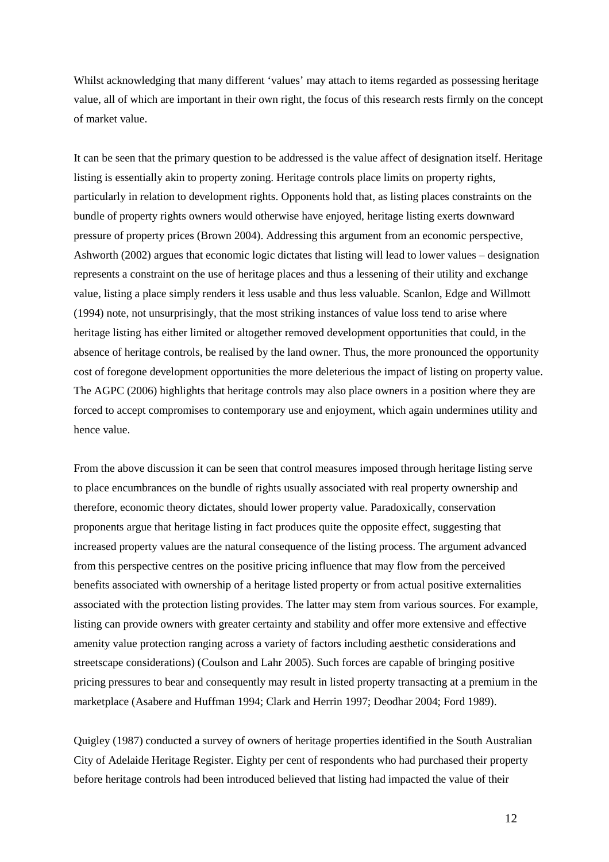Whilst acknowledging that many different 'values' may attach to items regarded as possessing heritage value, all of which are important in their own right, the focus of this research rests firmly on the concept of market value.

It can be seen that the primary question to be addressed is the value affect of designation itself. Heritage listing is essentially akin to property zoning. Heritage controls place limits on property rights, particularly in relation to development rights. Opponents hold that, as listing places constraints on the bundle of property rights owners would otherwise have enjoyed, heritage listing exerts downward pressure of property prices (Brown 2004). Addressing this argument from an economic perspective, Ashworth (2002) argues that economic logic dictates that listing will lead to lower values – designation represents a constraint on the use of heritage places and thus a lessening of their utility and exchange value, listing a place simply renders it less usable and thus less valuable. Scanlon, Edge and Willmott (1994) note, not unsurprisingly, that the most striking instances of value loss tend to arise where heritage listing has either limited or altogether removed development opportunities that could, in the absence of heritage controls, be realised by the land owner. Thus, the more pronounced the opportunity cost of foregone development opportunities the more deleterious the impact of listing on property value. The AGPC (2006) highlights that heritage controls may also place owners in a position where they are forced to accept compromises to contemporary use and enjoyment, which again undermines utility and hence value.

From the above discussion it can be seen that control measures imposed through heritage listing serve to place encumbrances on the bundle of rights usually associated with real property ownership and therefore, economic theory dictates, should lower property value. Paradoxically, conservation proponents argue that heritage listing in fact produces quite the opposite effect, suggesting that increased property values are the natural consequence of the listing process. The argument advanced from this perspective centres on the positive pricing influence that may flow from the perceived benefits associated with ownership of a heritage listed property or from actual positive externalities associated with the protection listing provides. The latter may stem from various sources. For example, listing can provide owners with greater certainty and stability and offer more extensive and effective amenity value protection ranging across a variety of factors including aesthetic considerations and streetscape considerations) (Coulson and Lahr 2005). Such forces are capable of bringing positive pricing pressures to bear and consequently may result in listed property transacting at a premium in the marketplace (Asabere and Huffman 1994; Clark and Herrin 1997; Deodhar 2004; Ford 1989).

Quigley (1987) conducted a survey of owners of heritage properties identified in the South Australian City of Adelaide Heritage Register. Eighty per cent of respondents who had purchased their property before heritage controls had been introduced believed that listing had impacted the value of their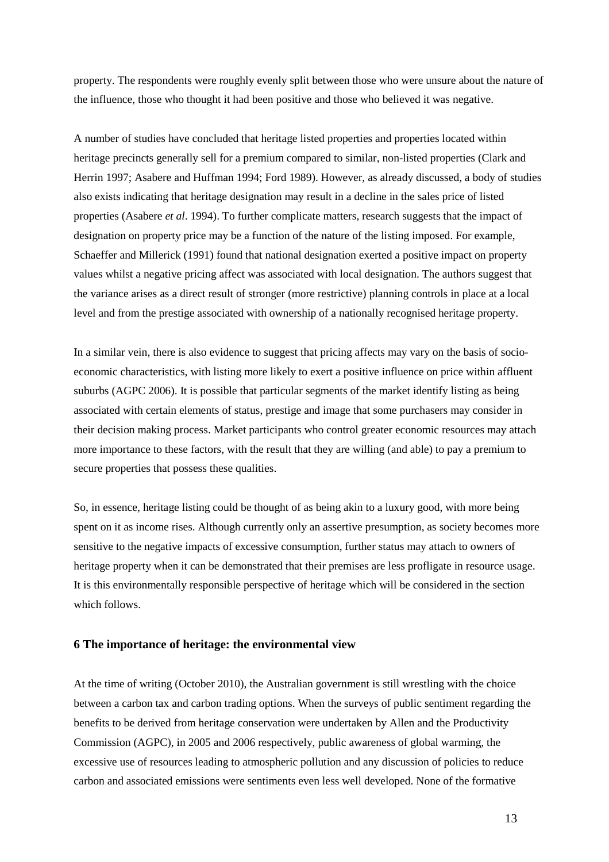property. The respondents were roughly evenly split between those who were unsure about the nature of the influence, those who thought it had been positive and those who believed it was negative.

A number of studies have concluded that heritage listed properties and properties located within heritage precincts generally sell for a premium compared to similar, non-listed properties (Clark and Herrin 1997; Asabere and Huffman 1994; Ford 1989). However, as already discussed, a body of studies also exists indicating that heritage designation may result in a decline in the sales price of listed properties (Asabere *et al*. 1994). To further complicate matters, research suggests that the impact of designation on property price may be a function of the nature of the listing imposed. For example, Schaeffer and Millerick (1991) found that national designation exerted a positive impact on property values whilst a negative pricing affect was associated with local designation. The authors suggest that the variance arises as a direct result of stronger (more restrictive) planning controls in place at a local level and from the prestige associated with ownership of a nationally recognised heritage property.

In a similar vein, there is also evidence to suggest that pricing affects may vary on the basis of socioeconomic characteristics, with listing more likely to exert a positive influence on price within affluent suburbs (AGPC 2006). It is possible that particular segments of the market identify listing as being associated with certain elements of status, prestige and image that some purchasers may consider in their decision making process. Market participants who control greater economic resources may attach more importance to these factors, with the result that they are willing (and able) to pay a premium to secure properties that possess these qualities.

So, in essence, heritage listing could be thought of as being akin to a luxury good, with more being spent on it as income rises. Although currently only an assertive presumption, as society becomes more sensitive to the negative impacts of excessive consumption, further status may attach to owners of heritage property when it can be demonstrated that their premises are less profligate in resource usage. It is this environmentally responsible perspective of heritage which will be considered in the section which follows.

# **6 The importance of heritage: the environmental view**

At the time of writing (October 2010), the Australian government is still wrestling with the choice between a carbon tax and carbon trading options. When the surveys of public sentiment regarding the benefits to be derived from heritage conservation were undertaken by Allen and the Productivity Commission (AGPC), in 2005 and 2006 respectively, public awareness of global warming, the excessive use of resources leading to atmospheric pollution and any discussion of policies to reduce carbon and associated emissions were sentiments even less well developed. None of the formative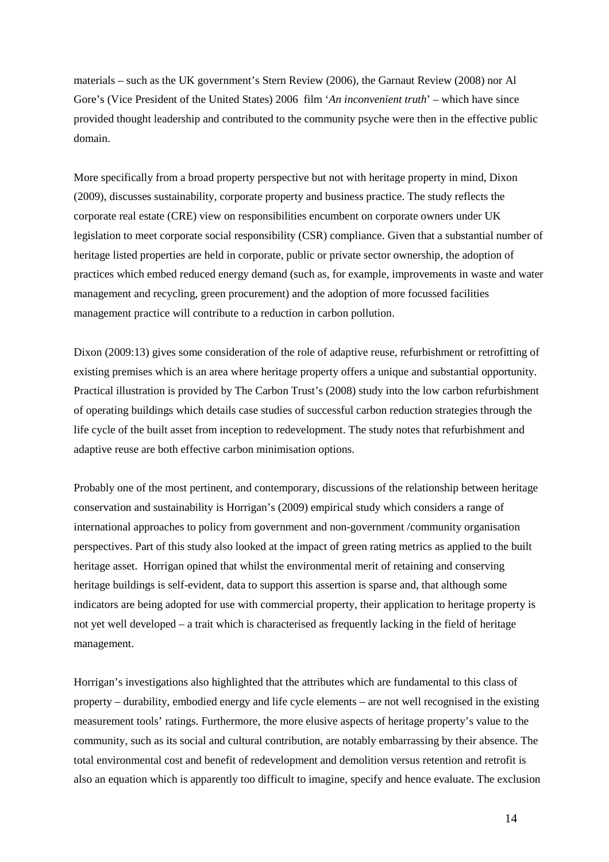materials – such as the UK government's Stern Review (2006), the Garnaut Review (2008) nor Al Gore's (Vice President of the United States) 2006 film '*An inconvenient truth*' – which have since provided thought leadership and contributed to the community psyche were then in the effective public domain.

More specifically from a broad property perspective but not with heritage property in mind, Dixon (2009), discusses sustainability, corporate property and business practice. The study reflects the corporate real estate (CRE) view on responsibilities encumbent on corporate owners under UK legislation to meet corporate social responsibility (CSR) compliance. Given that a substantial number of heritage listed properties are held in corporate, public or private sector ownership, the adoption of practices which embed reduced energy demand (such as, for example, improvements in waste and water management and recycling, green procurement) and the adoption of more focussed facilities management practice will contribute to a reduction in carbon pollution.

Dixon (2009:13) gives some consideration of the role of adaptive reuse, refurbishment or retrofitting of existing premises which is an area where heritage property offers a unique and substantial opportunity. Practical illustration is provided by The Carbon Trust's (2008) study into the low carbon refurbishment of operating buildings which details case studies of successful carbon reduction strategies through the life cycle of the built asset from inception to redevelopment. The study notes that refurbishment and adaptive reuse are both effective carbon minimisation options.

Probably one of the most pertinent, and contemporary, discussions of the relationship between heritage conservation and sustainability is Horrigan's (2009) empirical study which considers a range of international approaches to policy from government and non-government /community organisation perspectives. Part of this study also looked at the impact of green rating metrics as applied to the built heritage asset. Horrigan opined that whilst the environmental merit of retaining and conserving heritage buildings is self-evident, data to support this assertion is sparse and, that although some indicators are being adopted for use with commercial property, their application to heritage property is not yet well developed – a trait which is characterised as frequently lacking in the field of heritage management.

Horrigan's investigations also highlighted that the attributes which are fundamental to this class of property – durability, embodied energy and life cycle elements – are not well recognised in the existing measurement tools' ratings. Furthermore, the more elusive aspects of heritage property's value to the community, such as its social and cultural contribution, are notably embarrassing by their absence. The total environmental cost and benefit of redevelopment and demolition versus retention and retrofit is also an equation which is apparently too difficult to imagine, specify and hence evaluate. The exclusion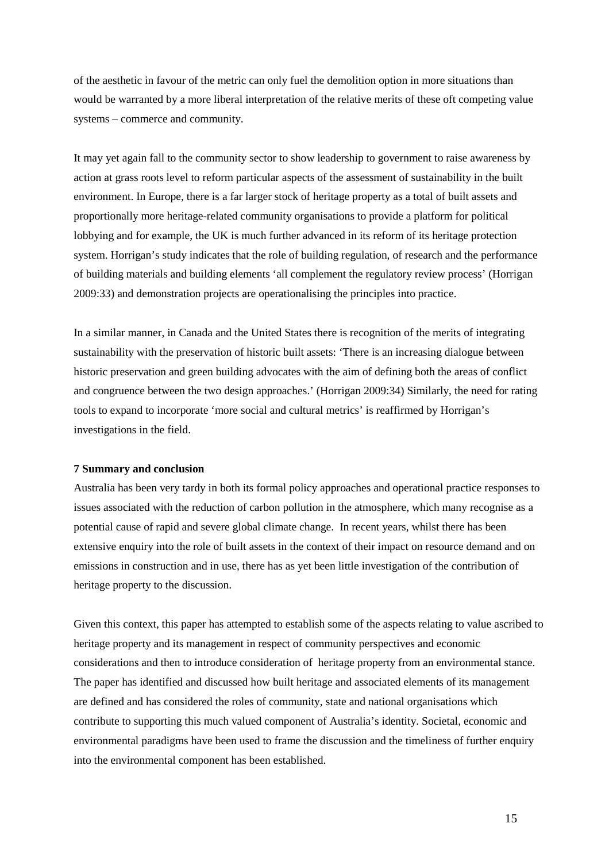of the aesthetic in favour of the metric can only fuel the demolition option in more situations than would be warranted by a more liberal interpretation of the relative merits of these oft competing value systems – commerce and community.

It may yet again fall to the community sector to show leadership to government to raise awareness by action at grass roots level to reform particular aspects of the assessment of sustainability in the built environment. In Europe, there is a far larger stock of heritage property as a total of built assets and proportionally more heritage-related community organisations to provide a platform for political lobbying and for example, the UK is much further advanced in its reform of its heritage protection system. Horrigan's study indicates that the role of building regulation, of research and the performance of building materials and building elements 'all complement the regulatory review process' (Horrigan 2009:33) and demonstration projects are operationalising the principles into practice.

In a similar manner, in Canada and the United States there is recognition of the merits of integrating sustainability with the preservation of historic built assets: 'There is an increasing dialogue between historic preservation and green building advocates with the aim of defining both the areas of conflict and congruence between the two design approaches.' (Horrigan 2009:34) Similarly, the need for rating tools to expand to incorporate 'more social and cultural metrics' is reaffirmed by Horrigan's investigations in the field.

#### **7 Summary and conclusion**

Australia has been very tardy in both its formal policy approaches and operational practice responses to issues associated with the reduction of carbon pollution in the atmosphere, which many recognise as a potential cause of rapid and severe global climate change. In recent years, whilst there has been extensive enquiry into the role of built assets in the context of their impact on resource demand and on emissions in construction and in use, there has as yet been little investigation of the contribution of heritage property to the discussion.

Given this context, this paper has attempted to establish some of the aspects relating to value ascribed to heritage property and its management in respect of community perspectives and economic considerations and then to introduce consideration of heritage property from an environmental stance. The paper has identified and discussed how built heritage and associated elements of its management are defined and has considered the roles of community, state and national organisations which contribute to supporting this much valued component of Australia's identity. Societal, economic and environmental paradigms have been used to frame the discussion and the timeliness of further enquiry into the environmental component has been established.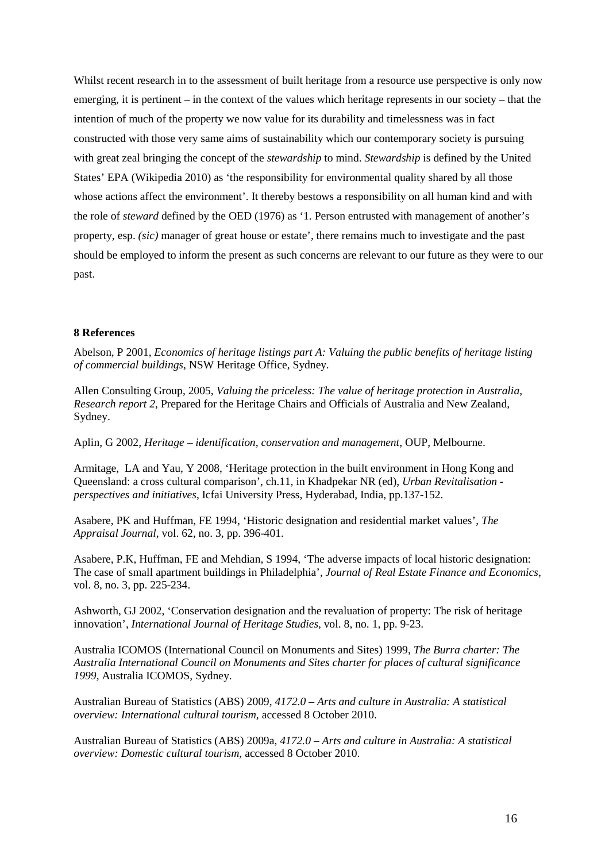Whilst recent research in to the assessment of built heritage from a resource use perspective is only now emerging, it is pertinent – in the context of the values which heritage represents in our society – that the intention of much of the property we now value for its durability and timelessness was in fact constructed with those very same aims of sustainability which our contemporary society is pursuing with great zeal bringing the concept of the *stewardship* to mind. *Stewardship* is defined by the United States' EPA (Wikipedia 2010) as 'the responsibility for environmental quality shared by all those whose actions affect the environment'. It thereby bestows a responsibility on all human kind and with the role of *steward* defined by the OED (1976) as '1. Person entrusted with management of another's property, esp. *(sic)* manager of great house or estate', there remains much to investigate and the past should be employed to inform the present as such concerns are relevant to our future as they were to our past.

### **8 References**

Abelson, P 2001, *Economics of heritage listings part A: Valuing the public benefits of heritage listing of commercial buildings*, NSW Heritage Office, Sydney.

Allen Consulting Group, 2005, *Valuing the priceless: The value of heritage protection in Australia*, *Research report 2*, Prepared for the Heritage Chairs and Officials of Australia and New Zealand, Sydney.

Aplin, G 2002, *Heritage – identification, conservation and management*, OUP, Melbourne.

Armitage, LA and Yau, Y 2008, 'Heritage protection in the built environment in Hong Kong and Queensland: a cross cultural comparison', ch.11, in Khadpekar NR (ed), *Urban Revitalisation perspectives and initiatives*, Icfai University Press, Hyderabad, India, pp.137-152.

Asabere, PK and Huffman, FE 1994, 'Historic designation and residential market values', *The Appraisal Journal,* vol. 62, no. 3, pp. 396-401.

Asabere, P.K, Huffman, FE and Mehdian, S 1994, 'The adverse impacts of local historic designation: The case of small apartment buildings in Philadelphia', *Journal of Real Estate Finance and Economics*, vol. 8, no. 3, pp. 225-234.

Ashworth, GJ 2002, 'Conservation designation and the revaluation of property: The risk of heritage innovation', *International Journal of Heritage Studies,* vol. 8, no. 1*,* pp. 9-23.

Australia ICOMOS (International Council on Monuments and Sites) 1999, *The Burra charter: The Australia International Council on Monuments and Sites charter for places of cultural significance 1999,* Australia ICOMOS, Sydney.

Australian Bureau of Statistics (ABS) 2009, *4172.0* – *Arts and culture in Australia: A statistical overview: International cultural tourism,* accessed 8 October 2010.

Australian Bureau of Statistics (ABS) 2009a, *4172.0* – *Arts and culture in Australia: A statistical overview: Domestic cultural tourism,* accessed 8 October 2010.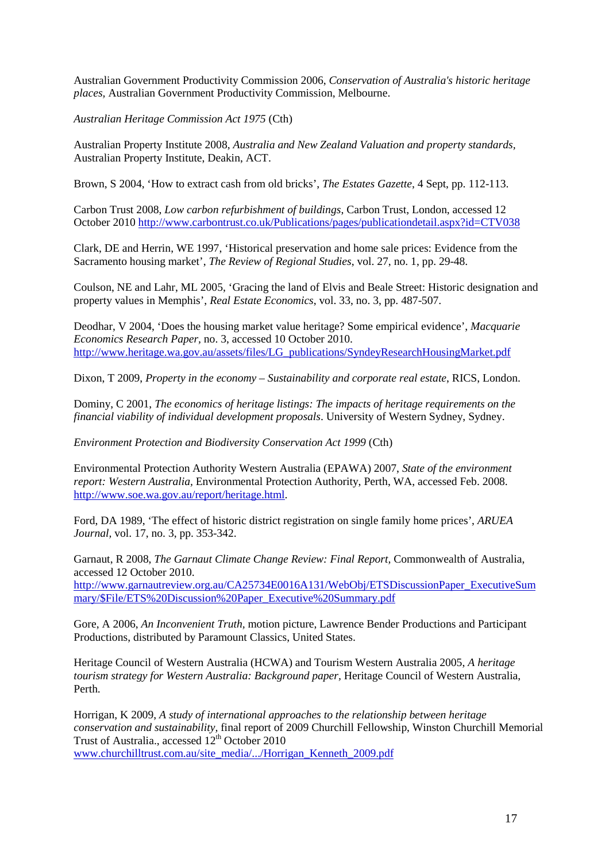Australian Government Productivity Commission 2006, *Conservation of Australia's historic heritage places,* Australian Government Productivity Commission, Melbourne.

*Australian Heritage Commission Act 1975* (Cth)

Australian Property Institute 2008, *Australia and New Zealand Valuation and property standards,*  Australian Property Institute, Deakin, ACT.

Brown, S 2004, 'How to extract cash from old bricks', *The Estates Gazette*, 4 Sept, pp. 112-113.

Carbon Trust 2008, *Low carbon refurbishment of buildings*, Carbon Trust, London, accessed 12 October 2010 http://www.carbontrust.co.uk/Publications/pages/publicationdetail.aspx?id=CTV038

Clark, DE and Herrin, WE 1997, 'Historical preservation and home sale prices: Evidence from the Sacramento housing market', *The Review of Regional Studies*, vol. 27, no. 1, pp. 29-48.

Coulson, NE and Lahr, ML 2005, 'Gracing the land of Elvis and Beale Street: Historic designation and property values in Memphis', *Real Estate Economics*, vol. 33, no. 3, pp. 487-507.

Deodhar, V 2004, 'Does the housing market value heritage? Some empirical evidence', *Macquarie Economics Research Paper,* no. 3, accessed 10 October 2010. http://www.heritage.wa.gov.au/assets/files/LG\_publications/SyndeyResearchHousingMarket.pdf

Dixon, T 2009, *Property in the economy – Sustainability and corporate real estate*, RICS, London.

Dominy, C 2001, *The economics of heritage listings: The impacts of heritage requirements on the financial viability of individual development proposals*. University of Western Sydney, Sydney.

*Environment Protection and Biodiversity Conservation Act 1999* (Cth)

Environmental Protection Authority Western Australia (EPAWA) 2007, *State of the environment report: Western Australia,* Environmental Protection Authority, Perth, WA, accessed Feb. 2008. http://www.soe.wa.gov.au/report/heritage.html.

Ford, DA 1989, 'The effect of historic district registration on single family home prices', *ARUEA Journal,* vol. 17, no. 3, pp. 353-342.

Garnaut, R 2008, *The Garnaut Climate Change Review: Final Report,* Commonwealth of Australia, accessed 12 October 2010.

http://www.garnautreview.org.au/CA25734E0016A131/WebObj/ETSDiscussionPaper\_ExecutiveSum mary/\$File/ETS%20Discussion%20Paper\_Executive%20Summary.pdf

Gore, A 2006, *An Inconvenient Truth,* motion picture, Lawrence Bender Productions and Participant Productions, distributed by Paramount Classics, United States.

Heritage Council of Western Australia (HCWA) and Tourism Western Australia 2005, *A heritage tourism strategy for Western Australia: Background paper,* Heritage Council of Western Australia, Perth.

Horrigan, K 2009, *A study of international approaches to the relationship between heritage conservation and sustainability,* final report of 2009 Churchill Fellowship, Winston Churchill Memorial Trust of Australia., accessed 12<sup>th</sup> October 2010 www.churchilltrust.com.au/site\_media/.../Horrigan\_Kenneth\_2009.pdf